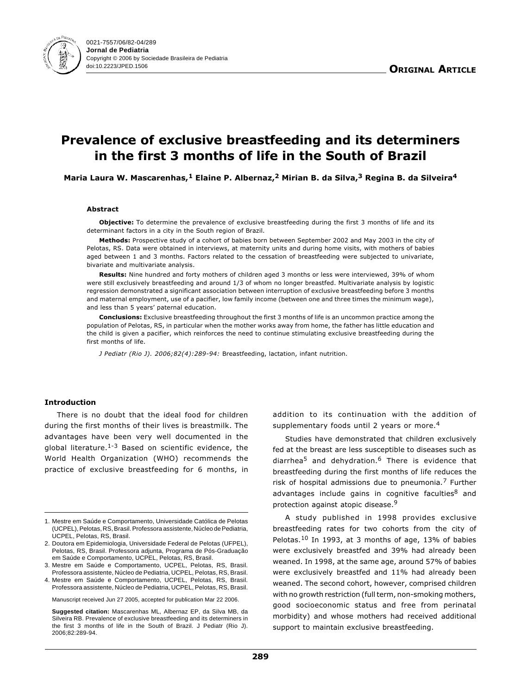

# Prevalence of exclusive breastfeeding and its determiners in the first 3 months of life in the South of Brazil

Maria Laura W. Mascarenhas,<sup>1</sup> Elaine P. Albernaz,<sup>2</sup> Mirian B. da Silva,<sup>3</sup> Regina B. da Silveira<sup>4</sup>

#### Abstract

Objective: To determine the prevalence of exclusive breastfeeding during the first 3 months of life and its determinant factors in a city in the South region of Brazil.

Methods: Prospective study of a cohort of babies born between September 2002 and May 2003 in the city of Pelotas, RS. Data were obtained in interviews, at maternity units and during home visits, with mothers of babies aged between 1 and 3 months. Factors related to the cessation of breastfeeding were subjected to univariate, bivariate and multivariate analysis.

Results: Nine hundred and forty mothers of children aged 3 months or less were interviewed, 39% of whom were still exclusively breastfeeding and around 1/3 of whom no longer breastfed. Multivariate analysis by logistic regression demonstrated a significant association between interruption of exclusive breastfeeding before 3 months and maternal employment, use of a pacifier, low family income (between one and three times the minimum wage), and less than 5 years' paternal education.

**Conclusions:** Exclusive breastfeeding throughout the first 3 months of life is an uncommon practice among the population of Pelotas, RS, in particular when the mother works away from home, the father has little education and the child is given a pacifier, which reinforces the need to continue stimulating exclusive breastfeeding during the first months of life.

J Pediatr (Rio J). 2006;82(4):289-94: Breastfeeding, lactation, infant nutrition.

# Introduction

There is no doubt that the ideal food for children during the first months of their lives is breastmilk. The advantages have been very well documented in the global literature.<sup>1-3</sup> Based on scientific evidence, the World Health Organization (WHO) recommends the practice of exclusive breastfeeding for 6 months, in

Manuscript received Jun 27 2005, accepted for publication Mar 22 2006.

**Suggested citation:** Mascarenhas ML, Albernaz EP, da Silva MB, da Silveira RB. Prevalence of exclusive breastfeeding and its determiners in the first 3 months of life in the South of Brazil. J Pediatr (Rio J). 2006;82:289-94.

addition to its continuation with the addition of supplementary foods until 2 years or more.<sup>4</sup>

Studies have demonstrated that children exclusively fed at the breast are less susceptible to diseases such as diarrhea5 and dehydration.6 There is evidence that breastfeeding during the first months of life reduces the risk of hospital admissions due to pneumonia. $7$  Further advantages include gains in cognitive faculties<sup>8</sup> and protection against atopic disease.<sup>9</sup>

A study published in 1998 provides exclusive breastfeeding rates for two cohorts from the city of Pelotas.10 In 1993, at 3 months of age, 13% of babies were exclusively breastfed and 39% had already been weaned. In 1998, at the same age, around 57% of babies were exclusively breastfed and 11% had already been weaned. The second cohort, however, comprised children with no growth restriction (full term, non-smoking mothers, good socioeconomic status and free from perinatal morbidity) and whose mothers had received additional support to maintain exclusive breastfeeding.

<sup>1.</sup> Mestre em Saúde e Comportamento, Universidade Católica de Pelotas (UCPEL), Pelotas, RS, Brasil. Professora assistente, Núcleo de Pediatria, UCPEL, Pelotas, RS, Brasil.

<sup>2.</sup> Doutora em Epidemiologia, Universidade Federal de Pelotas (UFPEL), Pelotas, RS, Brasil. Professora adjunta, Programa de Pós-Graduação em Saúde e Comportamento, UCPEL, Pelotas, RS, Brasil.

<sup>3.</sup> Mestre em Saúde e Comportamento, UCPEL, Pelotas, RS, Brasil. Professora assistente, Núcleo de Pediatria, UCPEL, Pelotas, RS, Brasil.

<sup>4.</sup> Mestre em Saúde e Comportamento, UCPEL, Pelotas, RS, Brasil. Professora assistente, Núcleo de Pediatria, UCPEL, Pelotas, RS, Brasil.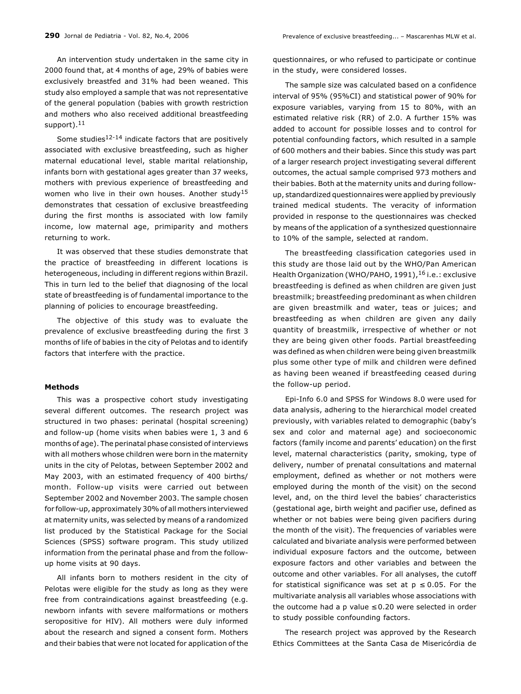An intervention study undertaken in the same city in 2000 found that, at 4 months of age, 29% of babies were exclusively breastfed and 31% had been weaned. This study also employed a sample that was not representative of the general population (babies with growth restriction and mothers who also received additional breastfeeding support).<sup>11</sup>

Some studies $12-14$  indicate factors that are positively associated with exclusive breastfeeding, such as higher maternal educational level, stable marital relationship, infants born with gestational ages greater than 37 weeks, mothers with previous experience of breastfeeding and women who live in their own houses. Another study<sup>15</sup> demonstrates that cessation of exclusive breastfeeding during the first months is associated with low family income, low maternal age, primiparity and mothers returning to work.

It was observed that these studies demonstrate that the practice of breastfeeding in different locations is heterogeneous, including in different regions within Brazil. This in turn led to the belief that diagnosing of the local state of breastfeeding is of fundamental importance to the planning of policies to encourage breastfeeding.

The objective of this study was to evaluate the prevalence of exclusive breastfeeding during the first 3 months of life of babies in the city of Pelotas and to identify factors that interfere with the practice.

## Methods

This was a prospective cohort study investigating several different outcomes. The research project was structured in two phases: perinatal (hospital screening) and follow-up (home visits when babies were 1, 3 and 6 months of age). The perinatal phase consisted of interviews with all mothers whose children were born in the maternity units in the city of Pelotas, between September 2002 and May 2003, with an estimated frequency of 400 births/ month. Follow-up visits were carried out between September 2002 and November 2003. The sample chosen for follow-up, approximately 30% of all mothers interviewed at maternity units, was selected by means of a randomized list produced by the Statistical Package for the Social Sciences (SPSS) software program. This study utilized information from the perinatal phase and from the followup home visits at 90 days.

All infants born to mothers resident in the city of Pelotas were eligible for the study as long as they were free from contraindications against breastfeeding (e.g. newborn infants with severe malformations or mothers seropositive for HIV). All mothers were duly informed about the research and signed a consent form. Mothers and their babies that were not located for application of the questionnaires, or who refused to participate or continue in the study, were considered losses.

The sample size was calculated based on a confidence interval of 95% (95%CI) and statistical power of 90% for exposure variables, varying from 15 to 80%, with an estimated relative risk (RR) of 2.0. A further 15% was added to account for possible losses and to control for potential confounding factors, which resulted in a sample of 600 mothers and their babies. Since this study was part of a larger research project investigating several different outcomes, the actual sample comprised 973 mothers and their babies. Both at the maternity units and during followup, standardized questionnaires were applied by previously trained medical students. The veracity of information provided in response to the questionnaires was checked by means of the application of a synthesized questionnaire to 10% of the sample, selected at random.

The breastfeeding classification categories used in this study are those laid out by the WHO/Pan American Health Organization (WHO/PAHO, 1991), <sup>16</sup> i.e.: exclusive breastfeeding is defined as when children are given just breastmilk; breastfeeding predominant as when children are given breastmilk and water, teas or juices; and breastfeeding as when children are given any daily quantity of breastmilk, irrespective of whether or not they are being given other foods. Partial breastfeeding was defined as when children were being given breastmilk plus some other type of milk and children were defined as having been weaned if breastfeeding ceased during the follow-up period.

Epi-Info 6.0 and SPSS for Windows 8.0 were used for data analysis, adhering to the hierarchical model created previously, with variables related to demographic (baby's sex and color and maternal age) and socioeconomic factors (family income and parents' education) on the first level, maternal characteristics (parity, smoking, type of delivery, number of prenatal consultations and maternal employment, defined as whether or not mothers were employed during the month of the visit) on the second level, and, on the third level the babies' characteristics (gestational age, birth weight and pacifier use, defined as whether or not babies were being given pacifiers during the month of the visit). The frequencies of variables were calculated and bivariate analysis were performed between individual exposure factors and the outcome, between exposure factors and other variables and between the outcome and other variables. For all analyses, the cutoff for statistical significance was set at  $p \le 0.05$ . For the multivariate analysis all variables whose associations with the outcome had a p value  $\leq$  0.20 were selected in order to study possible confounding factors.

The research project was approved by the Research Ethics Committees at the Santa Casa de Misericórdia de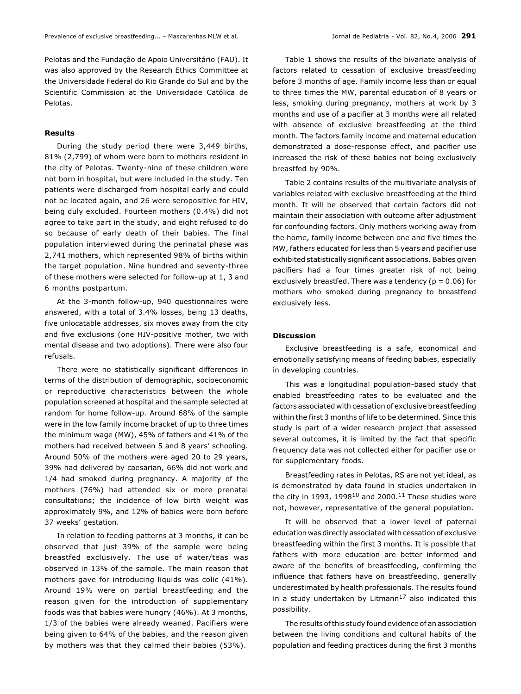Pelotas and the Fundação de Apoio Universitário (FAU). It was also approved by the Research Ethics Committee at the Universidade Federal do Rio Grande do Sul and by the Scientific Commission at the Universidade Católica de Pelotas.

### Results

During the study period there were 3,449 births, 81% (2,799) of whom were born to mothers resident in the city of Pelotas. Twenty-nine of these children were not born in hospital, but were included in the study. Ten patients were discharged from hospital early and could not be located again, and 26 were seropositive for HIV, being duly excluded. Fourteen mothers (0.4%) did not agree to take part in the study, and eight refused to do so because of early death of their babies. The final population interviewed during the perinatal phase was 2,741 mothers, which represented 98% of births within the target population. Nine hundred and seventy-three of these mothers were selected for follow-up at 1, 3 and 6 months postpartum.

At the 3-month follow-up, 940 questionnaires were answered, with a total of 3.4% losses, being 13 deaths, five unlocatable addresses, six moves away from the city and five exclusions (one HIV-positive mother, two with mental disease and two adoptions). There were also four refusals.

There were no statistically significant differences in terms of the distribution of demographic, socioeconomic or reproductive characteristics between the whole population screened at hospital and the sample selected at random for home follow-up. Around 68% of the sample were in the low family income bracket of up to three times the minimum wage (MW), 45% of fathers and 41% of the mothers had received between 5 and 8 years' schooling. Around 50% of the mothers were aged 20 to 29 years, 39% had delivered by caesarian, 66% did not work and 1/4 had smoked during pregnancy. A majority of the mothers (76%) had attended six or more prenatal consultations; the incidence of low birth weight was approximately 9%, and 12% of babies were born before 37 weeks' gestation.

In relation to feeding patterns at 3 months, it can be observed that just 39% of the sample were being breastfed exclusively. The use of water/teas was observed in 13% of the sample. The main reason that mothers gave for introducing liquids was colic (41%). Around 19% were on partial breastfeeding and the reason given for the introduction of supplementary foods was that babies were hungry (46%). At 3 months, 1/3 of the babies were already weaned. Pacifiers were being given to 64% of the babies, and the reason given by mothers was that they calmed their babies (53%).

Table 1 shows the results of the bivariate analysis of factors related to cessation of exclusive breastfeeding before 3 months of age. Family income less than or equal to three times the MW, parental education of 8 years or less, smoking during pregnancy, mothers at work by 3 months and use of a pacifier at 3 months were all related with absence of exclusive breastfeeding at the third month. The factors family income and maternal education demonstrated a dose-response effect, and pacifier use increased the risk of these babies not being exclusively breastfed by 90%.

Table 2 contains results of the multivariate analysis of variables related with exclusive breastfeeding at the third month. It will be observed that certain factors did not maintain their association with outcome after adjustment for confounding factors. Only mothers working away from the home, family income between one and five times the MW, fathers educated for less than 5 years and pacifier use exhibited statistically significant associations. Babies given pacifiers had a four times greater risk of not being exclusively breastfed. There was a tendency ( $p = 0.06$ ) for mothers who smoked during pregnancy to breastfeed exclusively less.

## Discussion

Exclusive breastfeeding is a safe, economical and emotionally satisfying means of feeding babies, especially in developing countries.

This was a longitudinal population-based study that enabled breastfeeding rates to be evaluated and the factors associated with cessation of exclusive breastfeeding within the first 3 months of life to be determined. Since this study is part of a wider research project that assessed several outcomes, it is limited by the fact that specific frequency data was not collected either for pacifier use or for supplementary foods.

Breastfeeding rates in Pelotas, RS are not yet ideal, as is demonstrated by data found in studies undertaken in the city in 1993, 1998<sup>10</sup> and 2000.<sup>11</sup> These studies were not, however, representative of the general population.

It will be observed that a lower level of paternal education was directly associated with cessation of exclusive breastfeeding within the first 3 months. It is possible that fathers with more education are better informed and aware of the benefits of breastfeeding, confirming the influence that fathers have on breastfeeding, generally underestimated by health professionals. The results found in a study undertaken by Litmann<sup>17</sup> also indicated this possibility.

The results of this study found evidence of an association between the living conditions and cultural habits of the population and feeding practices during the first 3 months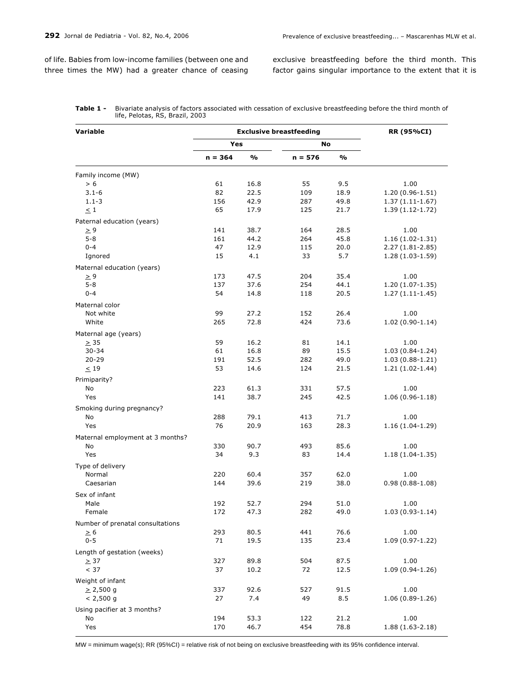of life. Babies from low-income families (between one and three times the MW) had a greater chance of ceasing

exclusive breastfeeding before the third month. This factor gains singular importance to the extent that it is

| Variable                         | <b>Exclusive breastfeeding</b> |      |           |               | <b>RR (95%CI)</b>   |
|----------------------------------|--------------------------------|------|-----------|---------------|---------------------|
|                                  | Yes                            |      | No        |               |                     |
|                                  | $n = 364$                      | %    | $n = 576$ | $\frac{0}{0}$ |                     |
| Family income (MW)               |                                |      |           |               |                     |
| > 6                              | 61                             | 16.8 | 55        | 9.5           | 1.00                |
| $3.1 - 6$                        | 82                             | 22.5 | 109       | 18.9          | $1.20(0.96-1.51)$   |
| $1.1 - 3$                        | 156                            | 42.9 | 287       | 49.8          | $1.37(1.11-1.67)$   |
| $\leq 1$                         | 65                             | 17.9 | 125       | 21.7          | $1.39(1.12-1.72)$   |
| Paternal education (years)       |                                |      |           |               |                     |
| $\geq 9$                         | 141                            | 38.7 | 164       | 28.5          | 1.00                |
| $5 - 8$                          | 161                            | 44.2 | 264       | 45.8          | $1.16(1.02-1.31)$   |
| $0 - 4$                          | 47                             | 12.9 | 115       | 20.0          | $2.27(1.81 - 2.85)$ |
| Ignored                          | 15                             | 4.1  | 33        | 5.7           | $1.28(1.03-1.59)$   |
| Maternal education (years)       |                                |      |           |               |                     |
| $\geq 9$                         | 173                            | 47.5 | 204       | 35.4          | 1.00                |
| 5-8                              | 137                            | 37.6 | 254       | 44.1          | $1.20(1.07-1.35)$   |
| $0 - 4$                          | 54                             | 14.8 | 118       | 20.5          | $1.27(1.11-1.45)$   |
| Maternal color                   |                                |      |           |               |                     |
| Not white                        | 99                             | 27.2 | 152       | 26.4          | 1.00                |
| White                            | 265                            | 72.8 | 424       | 73.6          | $1.02(0.90-1.14)$   |
| Maternal age (years)             |                                |      |           |               |                     |
| $\geq$ 35                        | 59                             | 16.2 | 81        | 14.1          | 1.00                |
| 30-34                            | 61                             | 16.8 | 89        | 15.5          | $1.03(0.84-1.24)$   |
| $20 - 29$                        | 191                            | 52.5 | 282       | 49.0          | $1.03(0.88-1.21)$   |
| $\leq$ 19                        | 53                             | 14.6 | 124       | 21.5          | $1.21(1.02-1.44)$   |
|                                  |                                |      |           |               |                     |
| Primiparity?<br>No               | 223                            | 61.3 | 331       | 57.5          | 1.00                |
| Yes                              | 141                            | 38.7 | 245       | 42.5          | $1.06(0.96-1.18)$   |
|                                  |                                |      |           |               |                     |
| Smoking during pregnancy?        |                                |      |           |               |                     |
| No                               | 288                            | 79.1 | 413       | 71.7          | 1.00                |
| Yes                              | 76                             | 20.9 | 163       | 28.3          | $1.16(1.04-1.29)$   |
| Maternal employment at 3 months? |                                |      |           |               |                     |
| No                               | 330                            | 90.7 | 493       | 85.6          | 1.00                |
| Yes                              | 34                             | 9.3  | 83        | 14.4          | $1.18(1.04-1.35)$   |
| Type of delivery                 |                                |      |           |               |                     |
| Normal                           | 220                            | 60.4 | 357       | 62.0          | 1.00                |
| Caesarian                        | 144                            | 39.6 | 219       | 38.0          | $0.98(0.88 - 1.08)$ |
| Sex of infant                    |                                |      |           |               |                     |
| Male                             | 192                            | 52.7 | 294       | 51.0          | 1.00                |
| Female                           | 172                            | 47.3 | 282       | 49.0          | $1.03(0.93-1.14)$   |
| Number of prenatal consultations |                                |      |           |               |                     |
| $\geq 6$                         | 293                            | 80.5 | 441       | 76.6          | 1.00                |
| $0 - 5$                          | 71                             | 19.5 | 135       | 23.4          | $1.09(0.97 - 1.22)$ |
| Length of gestation (weeks)      |                                |      |           |               |                     |
| $\geq$ 37                        | 327                            | 89.8 | 504       | 87.5          | 1.00                |
| < 37                             | 37                             | 10.2 | 72        | 12.5          | 1.09 (0.94-1.26)    |
| Weight of infant                 |                                |      |           |               |                     |
| $\geq$ 2,500 g                   | 337                            | 92.6 | 527       | 91.5          | 1.00                |
| $< 2,500$ g                      | 27                             | 7.4  | 49        | 8.5           | $1.06(0.89-1.26)$   |
| Using pacifier at 3 months?      |                                |      |           |               |                     |
| No                               | 194                            | 53.3 | 122       | 21.2          | 1.00                |
| Yes                              | 170                            | 46.7 | 454       | 78.8          | $1.88(1.63-2.18)$   |

Table 1 - Bivariate analysis of factors associated with cessation of exclusive breastfeeding before the third month of life, Pelotas, RS, Brazil, 2003

MW = minimum wage(s); RR (95%CI) = relative risk of not being on exclusive breastfeeding with its 95% confidence interval.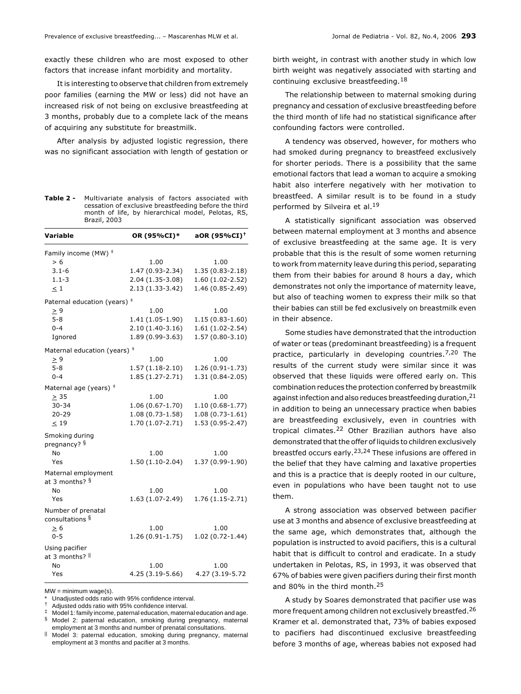exactly these children who are most exposed to other factors that increase infant morbidity and mortality.

It is interesting to observe that children from extremely poor families (earning the MW or less) did not have an increased risk of not being on exclusive breastfeeding at 3 months, probably due to a complete lack of the means of acquiring any substitute for breastmilk.

After analysis by adjusted logistic regression, there was no significant association with length of gestation or

Table 2 - Multivariate analysis of factors associated with cessation of exclusive breastfeeding before the third month of life, by hierarchical model, Pelotas, RS, Brazil, 2003

| Variable                              | OR (95%CI)*       | aOR (95%CI) <sup>+</sup> |
|---------------------------------------|-------------------|--------------------------|
| Family income (MW) <sup>+</sup>       |                   |                          |
| > 6                                   | 1.00              | 1.00                     |
| $3.1 - 6$                             | 1.47 (0.93-2.34)  | 1.35 (0.83-2.18)         |
| $1.1 - 3$                             | 2.04 (1.35-3.08)  | 1.60 (1.02-2.52)         |
| < 1                                   | 2.13 (1.33-3.42)  | 1.46 (0.85-2.49)         |
| Paternal education (years) $‡$        |                   |                          |
| $\geq 9$                              | 1.00              | 1.00                     |
| $5 - 8$                               | 1.41 (1.05-1.90)  | $1.15(0.83-1.60)$        |
| $0 - 4$                               | $2.10(1.40-3.16)$ | $1.61(1.02-2.54)$        |
| Ignored                               | 1.89 (0.99-3.63)  | $1.57(0.80-3.10)$        |
| Maternal education (years) $‡$        |                   |                          |
| > 9                                   | 1.00              | 1.00                     |
| $5 - 8$                               | $1.57(1.18-2.10)$ | 1.26 (0.91-1.73)         |
| $0 - 4$                               | 1.85 (1.27-2.71)  | 1.31 (0.84-2.05)         |
| Maternal age (years) $‡$              |                   |                          |
| $\geq$ 35                             | 1.00              | 1.00                     |
| $30 - 34$                             | $1.06(0.67-1.70)$ | $1.10(0.68-1.77)$        |
| $20 - 29$                             | $1.08(0.73-1.58)$ | $1.08(0.73 - 1.61)$      |
| $\leq$ 19                             | 1.70 (1.07-2.71)  | 1.53 (0.95-2.47)         |
| Smoking during                        |                   |                          |
| pregnancy? §                          |                   |                          |
| <b>No</b>                             | 1.00              | 1.00                     |
| Yes                                   | $1.50(1.10-2.04)$ | 1.37 (0.99-1.90)         |
| Maternal employment<br>at 3 months? § |                   |                          |
| No                                    | 1.00              | 1.00                     |
| Yes                                   | $1.63(1.07-2.49)$ | 1.76 (1.15-2.71)         |
| Number of prenatal<br>consultations § |                   |                          |
| $\geq 6$                              | 1.00              | 1.00                     |
| $0 - 5$                               | 1.26 (0.91-1.75)  | $1.02(0.72 - 1.44)$      |
| Using pacifier                        |                   |                          |
| at 3 months? II                       |                   |                          |
| No                                    | 1.00              | 1.00                     |
| Yes                                   | $4.25(3.19-5.66)$ | 4.27 (3.19-5.72          |

 $MW = minimum wace(s)$ .

Adjusted odds ratio with 95% confidence interval.

§ Model 2: paternal education, smoking during pregnancy, maternal employment at 3 months and number of prenatal consultations.

Model 3: paternal education, smoking during pregnancy, maternal employment at 3 months and pacifier at 3 months.

birth weight, in contrast with another study in which low birth weight was negatively associated with starting and continuing exclusive breastfeeding.<sup>18</sup>

The relationship between to maternal smoking during pregnancy and cessation of exclusive breastfeeding before the third month of life had no statistical significance after confounding factors were controlled.

A tendency was observed, however, for mothers who had smoked during pregnancy to breastfeed exclusively for shorter periods. There is a possibility that the same emotional factors that lead a woman to acquire a smoking habit also interfere negatively with her motivation to breastfeed. A similar result is to be found in a study performed by Silveira et al.<sup>19</sup>

A statistically significant association was observed between maternal employment at 3 months and absence of exclusive breastfeeding at the same age. It is very probable that this is the result of some women returning to work from maternity leave during this period, separating them from their babies for around 8 hours a day, which demonstrates not only the importance of maternity leave, but also of teaching women to express their milk so that their babies can still be fed exclusively on breastmilk even in their absence.

Some studies have demonstrated that the introduction of water or teas (predominant breastfeeding) is a frequent practice, particularly in developing countries.<sup>7,20</sup> The results of the current study were similar since it was observed that these liquids were offered early on. This combination reduces the protection conferred by breastmilk against infection and also reduces breastfeeding duration, <sup>21</sup> in addition to being an unnecessary practice when babies are breastfeeding exclusively, even in countries with tropical climates.22 Other Brazilian authors have also demonstrated that the offer of liquids to children exclusively breastfed occurs early.23,24 These infusions are offered in the belief that they have calming and laxative properties and this is a practice that is deeply rooted in our culture, even in populations who have been taught not to use them.

A strong association was observed between pacifier use at 3 months and absence of exclusive breastfeeding at the same age, which demonstrates that, although the population is instructed to avoid pacifiers, this is a cultural habit that is difficult to control and eradicate. In a study undertaken in Pelotas, RS, in 1993, it was observed that 67% of babies were given pacifiers during their first month and 80% in the third month.<sup>25</sup>

A study by Soares demonstrated that pacifier use was more frequent among children not exclusively breastfed.26 Kramer et al. demonstrated that, 73% of babies exposed to pacifiers had discontinued exclusive breastfeeding before 3 months of age, whereas babies not exposed had

Unadjusted odds ratio with 95% confidence interval.

<sup>‡</sup> Model 1: family income, paternal education, maternal education and age.